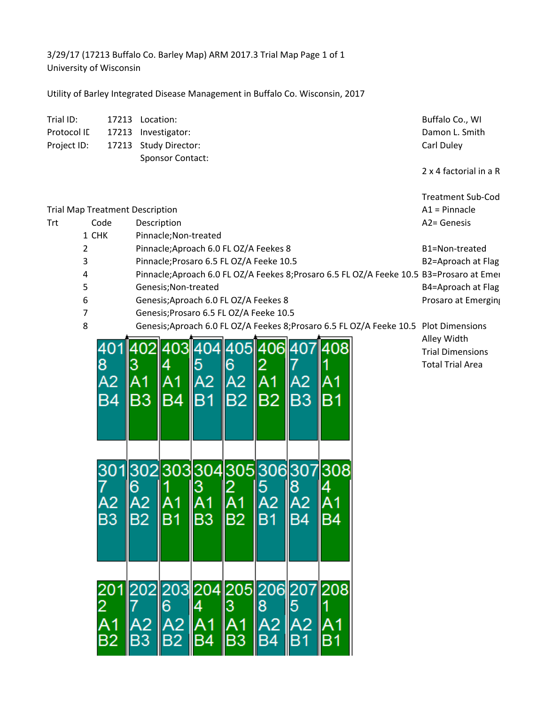3/29/17 (17213 Buffalo Co. Barley Map) ARM 2017.3 Trial Map Page 1 of 1 University of Wisconsin

Utility of Barley Integrated Disease Management in Buffalo Co. Wisconsin, 2017

| Trial ID:                              |       | 17213               | Location:                                                                             |                                                                                                                                        |     |                 |                                            |                |                          |  | Buffalo Co., WI                             |  |
|----------------------------------------|-------|---------------------|---------------------------------------------------------------------------------------|----------------------------------------------------------------------------------------------------------------------------------------|-----|-----------------|--------------------------------------------|----------------|--------------------------|--|---------------------------------------------|--|
| Protocol ID                            |       | 17213               |                                                                                       | Investigator:                                                                                                                          |     |                 |                                            |                |                          |  | Damon L. Smith                              |  |
| Project ID:                            |       | 17213               |                                                                                       | Study Director:                                                                                                                        |     |                 |                                            |                |                          |  | Carl Duley                                  |  |
|                                        |       |                     |                                                                                       | <b>Sponsor Contact:</b>                                                                                                                |     |                 |                                            |                |                          |  |                                             |  |
|                                        |       |                     |                                                                                       |                                                                                                                                        |     |                 |                                            |                |                          |  | 2 x 4 factorial in a R                      |  |
|                                        |       |                     |                                                                                       |                                                                                                                                        |     |                 |                                            |                |                          |  |                                             |  |
| <b>Trial Map Treatment Description</b> |       |                     |                                                                                       |                                                                                                                                        |     |                 |                                            |                |                          |  | <b>Treatment Sub-Cod</b><br>$A1 = Pinnacle$ |  |
|                                        |       | Code<br>Description |                                                                                       |                                                                                                                                        |     |                 |                                            |                |                          |  | A2= Genesis                                 |  |
| Trt                                    | 1 CHK |                     |                                                                                       | Pinnacle; Non-treated                                                                                                                  |     |                 |                                            |                |                          |  |                                             |  |
|                                        | 2     |                     |                                                                                       | Pinnacle; Aproach 6.0 FL OZ/A Feekes 8                                                                                                 |     | B1=Non-treated  |                                            |                |                          |  |                                             |  |
|                                        | 3     |                     |                                                                                       |                                                                                                                                        |     |                 |                                            |                |                          |  | B2=Aproach at Flag                          |  |
|                                        | 4     |                     |                                                                                       | Pinnacle; Prosaro 6.5 FL OZ/A Feeke 10.5<br>Pinnacle; Aproach 6.0 FL OZ/A Feekes 8; Prosaro 6.5 FL OZ/A Feeke 10.5 B3= Prosaro at Emer |     |                 |                                            |                |                          |  |                                             |  |
|                                        | 5     |                     |                                                                                       | Genesis; Non-treated                                                                                                                   |     |                 |                                            |                |                          |  | B4=Aproach at Flag                          |  |
|                                        | 6     |                     |                                                                                       |                                                                                                                                        |     |                 |                                            |                |                          |  | Prosaro at Emerging                         |  |
|                                        | 7     |                     |                                                                                       | Genesis; Aproach 6.0 FL OZ/A Feekes 8<br>Genesis; Prosaro 6.5 FL OZ/A Feeke 10.5                                                       |     |                 |                                            |                |                          |  |                                             |  |
|                                        | 8     |                     | Genesis; Aproach 6.0 FL OZ/A Feekes 8; Prosaro 6.5 FL OZ/A Feeke 10.5 Plot Dimensions |                                                                                                                                        |     |                 |                                            |                |                          |  |                                             |  |
|                                        |       |                     |                                                                                       |                                                                                                                                        |     |                 |                                            |                |                          |  | Alley Width                                 |  |
|                                        |       |                     |                                                                                       | 403                                                                                                                                    |     |                 | 4061                                       |                |                          |  | <b>Trial Dimensions</b>                     |  |
|                                        |       | 8                   |                                                                                       |                                                                                                                                        |     |                 |                                            |                |                          |  | <b>Total Trial Area</b>                     |  |
|                                        |       | A2                  |                                                                                       |                                                                                                                                        | А2  | А2              | Α1                                         | А2             |                          |  |                                             |  |
|                                        |       |                     |                                                                                       |                                                                                                                                        |     |                 |                                            |                |                          |  |                                             |  |
|                                        |       | B4                  | IB3                                                                                   | BA                                                                                                                                     | IB1 | IB2             | IB <sub>2</sub>                            | IB3            | B1                       |  |                                             |  |
|                                        |       |                     |                                                                                       |                                                                                                                                        |     |                 |                                            |                |                          |  |                                             |  |
|                                        |       |                     |                                                                                       |                                                                                                                                        |     |                 |                                            |                |                          |  |                                             |  |
|                                        |       |                     |                                                                                       |                                                                                                                                        |     |                 |                                            |                |                          |  |                                             |  |
|                                        |       |                     |                                                                                       |                                                                                                                                        |     |                 |                                            |                |                          |  |                                             |  |
|                                        |       |                     |                                                                                       |                                                                                                                                        |     |                 |                                            |                | 301302303304305306307308 |  |                                             |  |
|                                        |       |                     |                                                                                       |                                                                                                                                        |     |                 |                                            |                |                          |  |                                             |  |
|                                        |       |                     |                                                                                       |                                                                                                                                        |     |                 |                                            |                |                          |  |                                             |  |
|                                        |       |                     |                                                                                       |                                                                                                                                        |     |                 |                                            |                |                          |  |                                             |  |
|                                        |       | B3                  | $\parallel$ B2                                                                        | IB1                                                                                                                                    | IB3 | B2              | IB1                                        | $\parallel$ B4 | IB4                      |  |                                             |  |
|                                        |       |                     |                                                                                       |                                                                                                                                        |     |                 |                                            |                |                          |  |                                             |  |
|                                        |       |                     |                                                                                       |                                                                                                                                        |     |                 |                                            |                |                          |  |                                             |  |
|                                        |       |                     |                                                                                       |                                                                                                                                        |     |                 |                                            |                |                          |  |                                             |  |
|                                        |       |                     |                                                                                       |                                                                                                                                        |     |                 |                                            |                |                          |  |                                             |  |
|                                        |       |                     |                                                                                       | 1202203204205206                                                                                                                       |     |                 |                                            | 20             |                          |  |                                             |  |
|                                        |       |                     |                                                                                       | 6                                                                                                                                      |     | l3              | 8                                          | 15             |                          |  |                                             |  |
|                                        |       |                     |                                                                                       |                                                                                                                                        |     |                 |                                            |                |                          |  |                                             |  |
|                                        |       | А                   | A2                                                                                    | $A2$ <sub>B2</sub>                                                                                                                     |     | A <sub>1</sub>  | $\begin{array}{c}\n A2 \\ B4\n\end{array}$ | IA2            |                          |  |                                             |  |
|                                        |       | B2                  | $\parallel$ B <sub>3</sub>                                                            |                                                                                                                                        | IB4 | IB <sub>3</sub> |                                            | llB1           | IB1                      |  |                                             |  |
|                                        |       |                     |                                                                                       |                                                                                                                                        |     |                 |                                            |                |                          |  |                                             |  |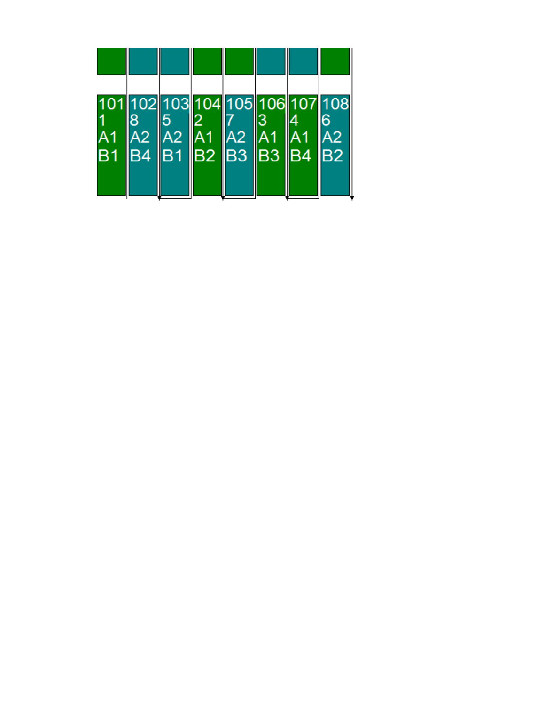